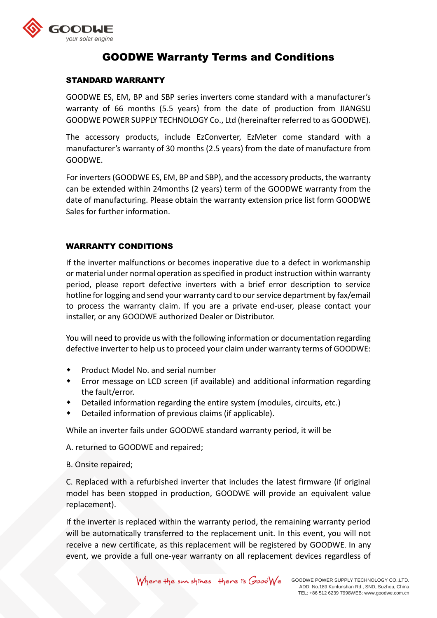

# GOODWE Warranty Terms and Conditions

## STANDARD WARRANTY

GOODWE ES, EM, BP and SBP series inverters come standard with a manufacturer's warranty of 66 months (5.5 years) from the date of production from JIANGSU GOODWE POWER SUPPLY TECHNOLOGY Co., Ltd (hereinafter referred to as GOODWE).

The accessory products, include EzConverter, EzMeter come standard with a manufacturer's warranty of 30 months (2.5 years) from the date of manufacture from GOODWE.

For inverters (GOODWE ES, EM, BP and SBP), and the accessory products, the warranty can be extended within 24months (2 years) term of the GOODWE warranty from the date of manufacturing. Please obtain the warranty extension price list form GOODWE Sales for further information.

## WARRANTY CONDITIONS

If the inverter malfunctions or becomes inoperative due to a defect in workmanship or material under normal operation as specified in product instruction within warranty period, please report defective inverters with a brief error description to service hotline for logging and send your warranty card to our service department by fax/email to process the warranty claim. If you are a private end-user, please contact your installer, or any GOODWE authorized Dealer or Distributor.

You will need to provide us with the following information or documentation regarding defective inverter to help us to proceed your claim under warranty terms of GOODWE:

- Product Model No. and serial number
- Error message on LCD screen (if available) and additional information regarding the fault/error.
- Detailed information regarding the entire system (modules, circuits, etc.)
- Detailed information of previous claims (if applicable).

While an inverter fails under GOODWE standard warranty period, it will be

A. returned to GOODWE and repaired;

B. Onsite repaired;

C. Replaced with a refurbished inverter that includes the latest firmware (if original model has been stopped in production, GOODWE will provide an equivalent value replacement).

If the inverter is replaced within the warranty period, the remaining warranty period will be automatically transferred to the replacement unit. In this event, you will not receive a new certificate, as this replacement will be registered by GOODWE. In any event, we provide a full one-year warranty on all replacement devices regardless of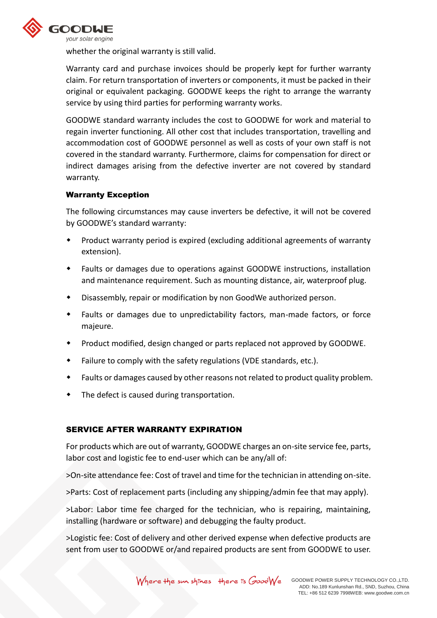

whether the original warranty is still valid.

Warranty card and purchase invoices should be properly kept for further warranty claim. For return transportation of inverters or components, it must be packed in their original or equivalent packaging. GOODWE keeps the right to arrange the warranty service by using third parties for performing warranty works.

GOODWE standard warranty includes the cost to GOODWE for work and material to regain inverter functioning. All other cost that includes transportation, travelling and accommodation cost of GOODWE personnel as well as costs of your own staff is not covered in the standard warranty. Furthermore, claims for compensation for direct or indirect damages arising from the defective inverter are not covered by standard warranty.

### Warranty Exception

The following circumstances may cause inverters be defective, it will not be covered by GOODWE's standard warranty:

- Product warranty period is expired (excluding additional agreements of warranty extension).
- Faults or damages due to operations against GOODWE instructions, installation and maintenance requirement. Such as mounting distance, air, waterproof plug.
- Disassembly, repair or modification by non GoodWe authorized person.
- Faults or damages due to unpredictability factors, man-made factors, or force majeure.
- Product modified, design changed or parts replaced not approved by GOODWE.
- Failure to comply with the safety regulations (VDE standards, etc.).
- Faults or damages caused by other reasons not related to product quality problem.
- The defect is caused during transportation.

### SERVICE AFTER WARRANTY EXPIRATION

For products which are out of warranty, GOODWE charges an on-site service fee, parts, labor cost and logistic fee to end-user which can be any/all of:

>On-site attendance fee: Cost of travel and time for the technician in attending on-site.

>Parts: Cost of replacement parts (including any shipping/admin fee that may apply).

>Labor: Labor time fee charged for the technician, who is repairing, maintaining, installing (hardware or software) and debugging the faulty product.

>Logistic fee: Cost of delivery and other derived expense when defective products are sent from user to GOODWE or/and repaired products are sent from GOODWE to user.